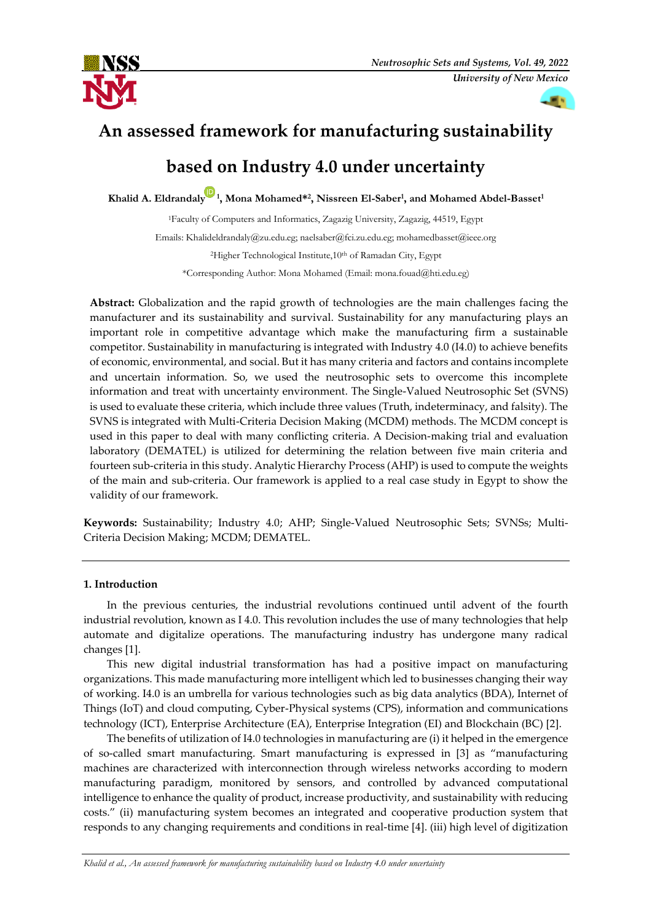



# **An assessed framework for manufacturing sustainability**

# **based on Industry 4.0 under uncertainty**

**Khalid A. Eldrandaly <sup>1</sup> , Mona Mohamed\* 2 , Nissreen El-Saber<sup>1</sup> , and Mohamed Abdel-Basset<sup>1</sup>**

<sup>1</sup>Faculty of Computers and Informatics, Zagazig University, Zagazig, 44519, Egypt Emails: Khalideldrandaly@zu.edu.eg; naelsaber@fci.zu.edu.eg; mohamedbasset@ieee.org <sup>2</sup>Higher Technological Institute,10th of Ramadan City, Egypt \*Corresponding Author: Mona Mohamed (Email: mona.fouad@hti.edu.eg)

**Abstract:** Globalization and the rapid growth of technologies are the main challenges facing the manufacturer and its sustainability and survival. Sustainability for any manufacturing plays an important role in competitive advantage which make the manufacturing firm a sustainable competitor. Sustainability in manufacturing is integrated with Industry 4.0 (I4.0) to achieve benefits of economic, environmental, and social. But it has many criteria and factors and contains incomplete and uncertain information. So, we used the neutrosophic sets to overcome this incomplete information and treat with uncertainty environment. The Single-Valued Neutrosophic Set (SVNS) is used to evaluate these criteria, which include three values (Truth, indeterminacy, and falsity). The SVNS is integrated with Multi-Criteria Decision Making (MCDM) methods. The MCDM concept is used in this paper to deal with many conflicting criteria. A Decision-making trial and evaluation laboratory (DEMATEL) is utilized for determining the relation between five main criteria and fourteen sub-criteria in this study. Analytic Hierarchy Process (AHP) is used to compute the weights of the main and sub-criteria. Our framework is applied to a real case study in Egypt to show the validity of our framework.

**Keywords:** Sustainability; Industry 4.0; AHP; Single-Valued Neutrosophic Sets; SVNSs; Multi-Criteria Decision Making; MCDM; DEMATEL.

# **1. Introduction**

In the previous centuries, the industrial revolutions continued until advent of the fourth industrial revolution, known as I 4.0. This revolution includes the use of many technologies that help automate and digitalize operations. The manufacturing industry has undergone many radical changes [1].

This new digital industrial transformation has had a positive impact on manufacturing organizations. This made manufacturing more intelligent which led to businesses changing their way of working. I4.0 is an umbrella for various technologies such as big data analytics (BDA), Internet of Things (IoT) and cloud computing, Cyber-Physical systems (CPS), information and communications technology (ICT), Enterprise Architecture (EA), Enterprise Integration (EI) and Blockchain (BC) [2].

The benefits of utilization of I4.0 technologies in manufacturing are (i) it helped in the emergence of so-called smart manufacturing. Smart manufacturing is expressed in [3] as "manufacturing machines are characterized with interconnection through wireless networks according to modern manufacturing paradigm, monitored by sensors, and controlled by advanced computational intelligence to enhance the quality of product, increase productivity, and sustainability with reducing costs." (ii) manufacturing system becomes an integrated and cooperative production system that responds to any changing requirements and conditions in real-time [4]. (iii) high level of digitization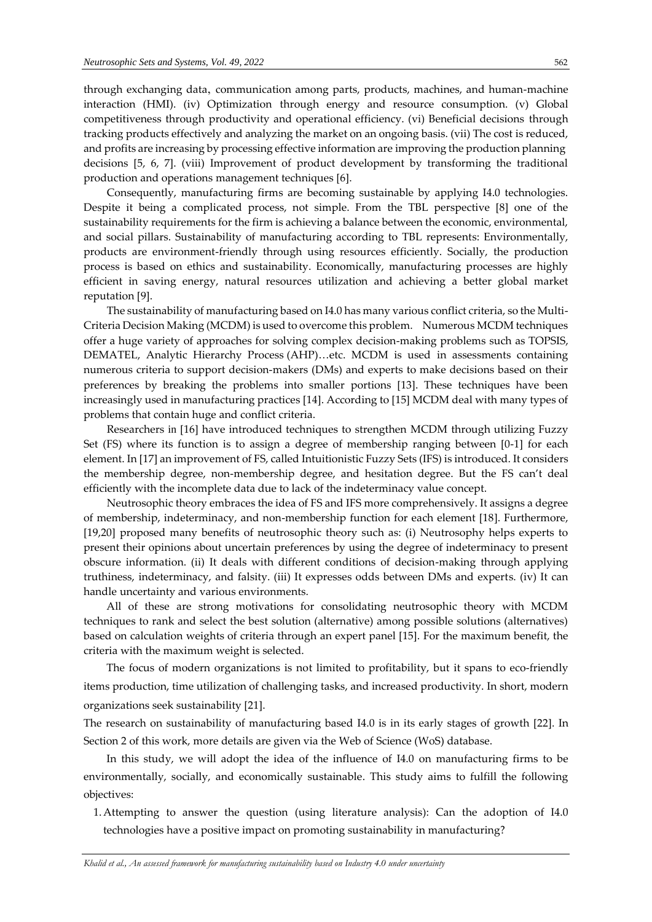production and operations management techniques [6].

through exchanging data, communication among parts, products, machines, and human-machine interaction (HMI). (iv) Optimization through energy and resource consumption. (v) Global competitiveness through productivity and operational efficiency. (vi) Beneficial decisions through tracking products effectively and analyzing the market on an ongoing basis. (vii) The cost is reduced, and profits are increasing by processing effective information are improving the production planning decisions [5, 6, 7]. (viii) Improvement of product development by transforming the traditional

Consequently, manufacturing firms are becoming sustainable by applying I4.0 technologies. Despite it being a complicated process, not simple. From the TBL perspective [8] one of the sustainability requirements for the firm is achieving a balance between the economic, environmental, and social pillars. Sustainability of manufacturing according to TBL represents: Environmentally, products are environment-friendly through using resources efficiently. Socially, the production process is based on ethics and sustainability. Economically, manufacturing processes are highly efficient in saving energy, natural resources utilization and achieving a better global market reputation [9].

The sustainability of manufacturing based on I4.0 has many various conflict criteria, so the Multi-Criteria Decision Making (MCDM) is used to overcome this problem. Numerous MCDM techniques offer a huge variety of approaches for solving complex decision-making problems such as TOPSIS, DEMATEL, Analytic Hierarchy Process (AHP)…etc. MCDM is used in assessments containing numerous criteria to support decision-makers (DMs) and experts to make decisions based on their preferences by breaking the problems into smaller portions [13]. These techniques have been increasingly used in manufacturing practices [14]. According to [15] MCDM deal with many types of problems that contain huge and conflict criteria.

Researchers in [16] have introduced techniques to strengthen MCDM through utilizing Fuzzy Set (FS) where its function is to assign a degree of membership ranging between [0-1] for each element. In [17] an improvement of FS, called Intuitionistic Fuzzy Sets (IFS) is introduced. It considers the membership degree, non-membership degree, and hesitation degree. But the FS can't deal efficiently with the incomplete data due to lack of the indeterminacy value concept.

Neutrosophic theory embraces the idea of FS and IFS more comprehensively. It assigns a degree of membership, indeterminacy, and non-membership function for each element [18]. Furthermore, [19,20] proposed many benefits of neutrosophic theory such as: (i) Neutrosophy helps experts to present their opinions about uncertain preferences by using the degree of indeterminacy to present obscure information. (ii) It deals with different conditions of decision-making through applying truthiness, indeterminacy, and falsity. (iii) It expresses odds between DMs and experts. (iv) It can handle uncertainty and various environments.

All of these are strong motivations for consolidating neutrosophic theory with MCDM techniques to rank and select the best solution (alternative) among possible solutions (alternatives) based on calculation weights of criteria through an expert panel [15]. For the maximum benefit, the criteria with the maximum weight is selected.

The focus of modern organizations is not limited to profitability, but it spans to eco-friendly items production, time utilization of challenging tasks, and increased productivity. In short, modern organizations seek sustainability [21].

The research on sustainability of manufacturing based I4.0 is in its early stages of growth [22]. In Section 2 of this work, more details are given via the Web of Science (WoS) database.

In this study, we will adopt the idea of the influence of I4.0 on manufacturing firms to be environmentally, socially, and economically sustainable. This study aims to fulfill the following objectives:

1.Attempting to answer the question (using literature analysis): Can the adoption of I4.0 technologies have a positive impact on promoting sustainability in manufacturing?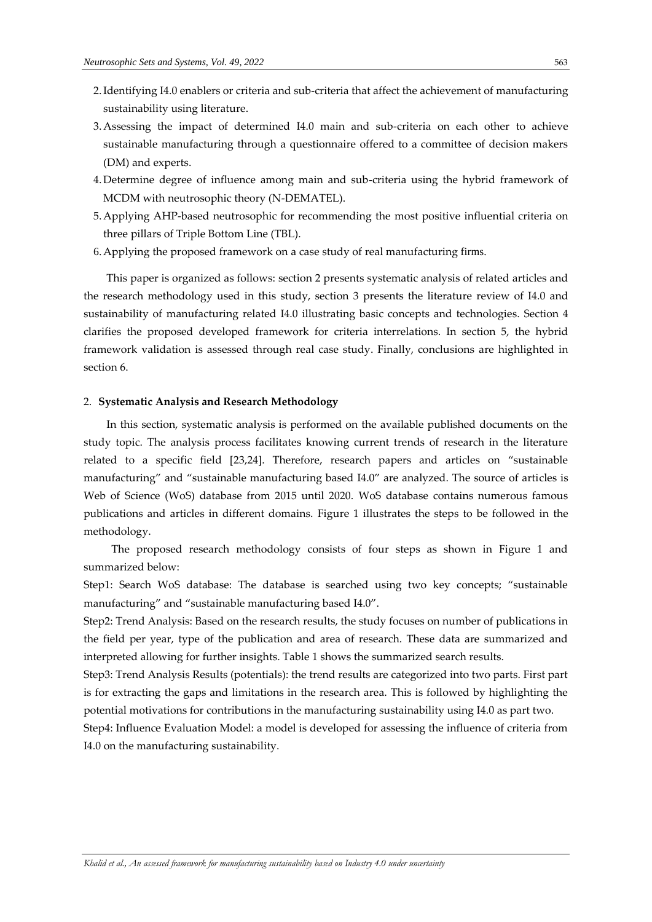- 2.Identifying I4.0 enablers or criteria and sub-criteria that affect the achievement of manufacturing sustainability using literature.
- 3.Assessing the impact of determined I4.0 main and sub-criteria on each other to achieve sustainable manufacturing through a questionnaire offered to a committee of decision makers (DM) and experts.
- 4.Determine degree of influence among main and sub-criteria using the hybrid framework of MCDM with neutrosophic theory (N-DEMATEL).
- 5.Applying AHP-based neutrosophic for recommending the most positive influential criteria on three pillars of Triple Bottom Line (TBL).
- 6.Applying the proposed framework on a case study of real manufacturing firms.

This paper is organized as follows: section 2 presents systematic analysis of related articles and the research methodology used in this study, section 3 presents the literature review of I4.0 and sustainability of manufacturing related I4.0 illustrating basic concepts and technologies. Section 4 clarifies the proposed developed framework for criteria interrelations. In section 5, the hybrid framework validation is assessed through real case study. Finally, conclusions are highlighted in section 6.

#### 2. **Systematic Analysis and Research Methodology**

In this section, systematic analysis is performed on the available published documents on the study topic. The analysis process facilitates knowing current trends of research in the literature related to a specific field [23,24]. Therefore, research papers and articles on "sustainable manufacturing" and "sustainable manufacturing based I4.0" are analyzed. The source of articles is Web of Science (WoS) database from 2015 until 2020. WoS database contains numerous famous publications and articles in different domains. Figure 1 illustrates the steps to be followed in the methodology.

The proposed research methodology consists of four steps as shown in Figure 1 and summarized below:

Step1: Search WoS database: The database is searched using two key concepts; "sustainable manufacturing" and "sustainable manufacturing based I4.0".

Step2: Trend Analysis: Based on the research results, the study focuses on number of publications in the field per year, type of the publication and area of research. These data are summarized and interpreted allowing for further insights. Table 1 shows the summarized search results.

Step3: Trend Analysis Results (potentials): the trend results are categorized into two parts. First part is for extracting the gaps and limitations in the research area. This is followed by highlighting the potential motivations for contributions in the manufacturing sustainability using I4.0 as part two.

Step4: Influence Evaluation Model: a model is developed for assessing the influence of criteria from I4.0 on the manufacturing sustainability.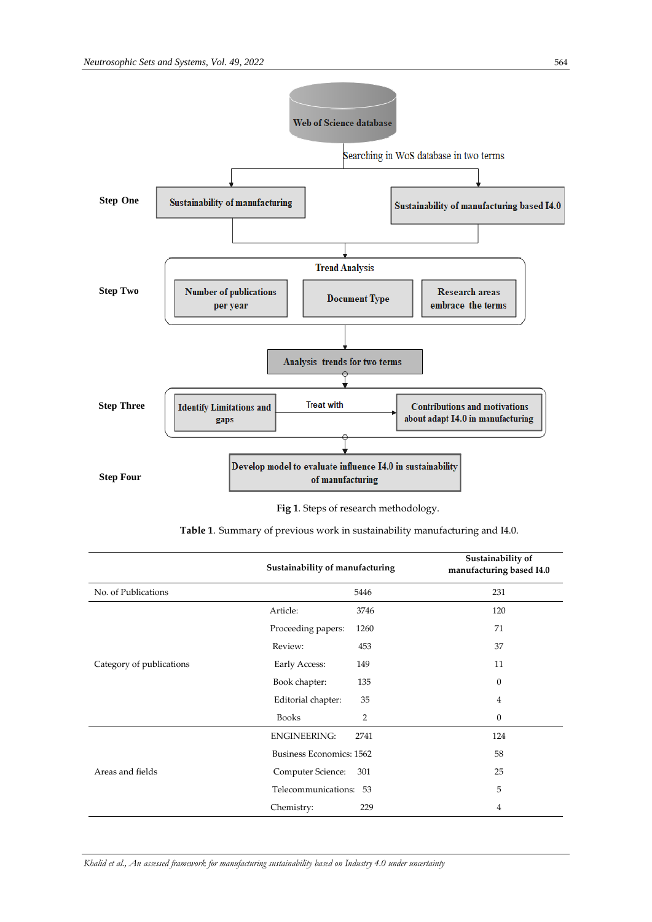

 **Fig 1**. Steps of research methodology.

|                          | Sustainability of manufacturing | Sustainability of<br>manufacturing based I4.0 |
|--------------------------|---------------------------------|-----------------------------------------------|
| No. of Publications      | 5446                            | 231                                           |
|                          | Article:<br>3746                | 120                                           |
|                          | Proceeding papers:<br>1260      | 71                                            |
|                          | Review:<br>453                  | 37                                            |
| Category of publications | Early Access:<br>149            | 11                                            |
|                          | 135<br>Book chapter:            | $\Omega$                                      |
|                          | Editorial chapter:<br>35        | $\overline{4}$                                |
|                          | <b>Books</b><br>$\overline{2}$  | $\mathbf{0}$                                  |
|                          | <b>ENGINEERING:</b><br>2741     | 124                                           |
| Areas and fields         | Business Economics: 1562        | 58                                            |
|                          | Computer Science:<br>301        | 25                                            |
|                          | Telecommunications: 53          | 5                                             |
|                          | 229<br>Chemistry:               | 4                                             |

**Table 1**. Summary of previous work in sustainability manufacturing and I4.0.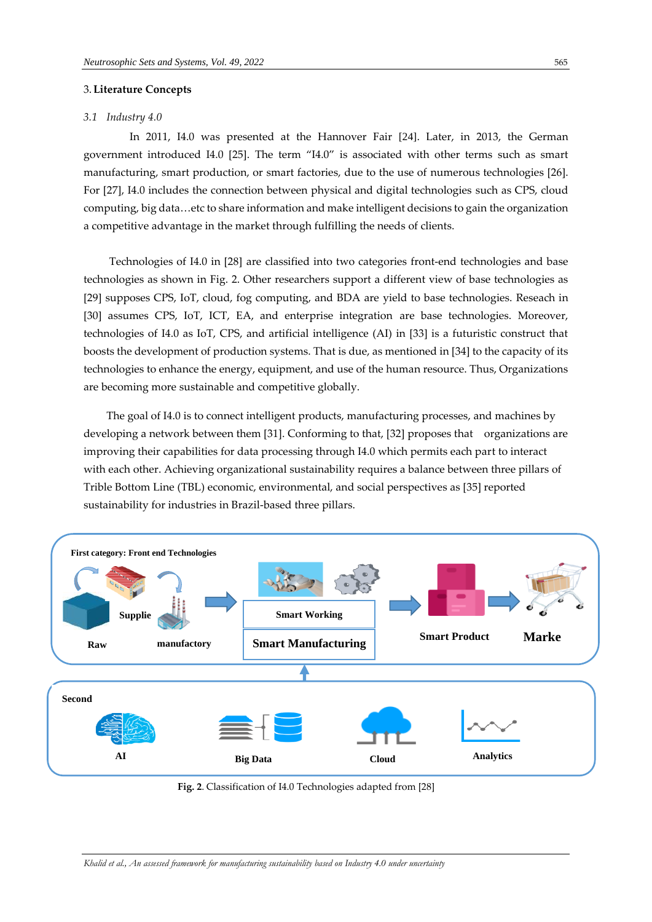# 3.**Literature Concepts**

#### *3.1 Industry 4.0*

In 2011, I4.0 was presented at the Hannover Fair [24]. Later, in 2013, the German government introduced I4.0 [25]. The term "I4.0" is associated with other terms such as smart manufacturing, smart production, or smart factories, due to the use of numerous technologies [26]. For [27], I4.0 includes the connection between physical and digital technologies such as CPS, cloud computing, big data…etc to share information and make intelligent decisions to gain the organization a competitive advantage in the market through fulfilling the needs of clients.

Technologies of I4.0 in [28] are classified into two categories front-end technologies and base technologies as shown in Fig. 2. Other researchers support a different view of base technologies as [29] supposes CPS, IoT, cloud, fog computing, and BDA are yield to base technologies. Reseach in [30] assumes CPS, IoT, ICT, EA, and enterprise integration are base technologies. Moreover, technologies of I4.0 as IoT, CPS, and artificial intelligence (AI) in [33] is a futuristic construct that boosts the development of production systems. That is due, as mentioned in [34] to the capacity of its technologies to enhance the energy, equipment, and use of the human resource. Thus, Organizations are becoming more sustainable and competitive globally.

The goal of I4.0 is to connect intelligent products, manufacturing processes, and machines by developing a network between them [31]. Conforming to that, [32] proposes that organizations are improving their capabilities for data processing through I4.0 which permits each part to interact with each other. Achieving organizational sustainability requires a balance between three pillars of Trible Bottom Line (TBL) economic, environmental, and social perspectives as [35] reported sustainability for industries in Brazil-based three pillars.



 **Fig. 2**. Classification of I4.0 Technologies adapted from [28]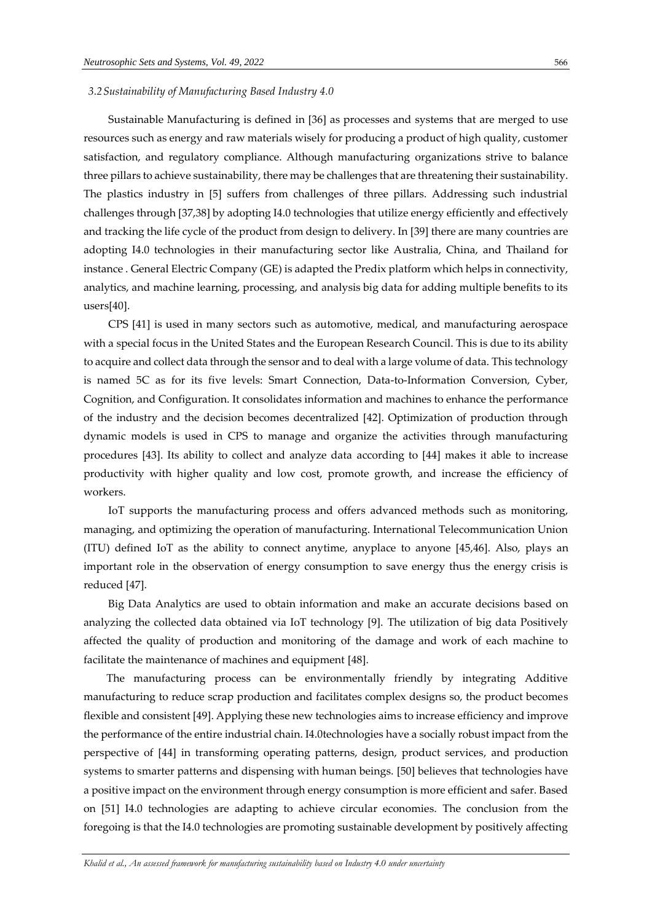#### *3.2Sustainability of Manufacturing Based Industry 4.0*

Sustainable Manufacturing is defined in [36] as processes and systems that are merged to use resources such as energy and raw materials wisely for producing a product of high quality, customer satisfaction, and regulatory compliance. Although manufacturing organizations strive to balance three pillars to achieve sustainability, there may be challenges that are threatening their sustainability. The plastics industry in [5] suffers from challenges of three pillars. Addressing such industrial challenges through [37,38] by adopting I4.0 technologies that utilize energy efficiently and effectively and tracking the life cycle of the product from design to delivery. In [39] there are many countries are adopting I4.0 technologies in their manufacturing sector like Australia, China, and Thailand for instance . General Electric Company (GE) is adapted the Predix platform which helps in connectivity, analytics, and machine learning, processing, and analysis big data for adding multiple benefits to its users[40].

CPS [41] is used in many sectors such as automotive, medical, and manufacturing aerospace with a special focus in the United States and the European Research Council. This is due to its ability to acquire and collect data through the sensor and to deal with a large volume of data. This technology is named 5C as for its five levels: Smart Connection, Data-to-Information Conversion, Cyber, Cognition, and Configuration. It consolidates information and machines to enhance the performance of the industry and the decision becomes decentralized [42]. Optimization of production through dynamic models is used in CPS to manage and organize the activities through manufacturing procedures [43]. Its ability to collect and analyze data according to [44] makes it able to increase productivity with higher quality and low cost, promote growth, and increase the efficiency of workers.

IoT supports the manufacturing process and offers advanced methods such as monitoring, managing, and optimizing the operation of manufacturing. International Telecommunication Union (ITU) defined IoT as the ability to connect anytime, anyplace to anyone [45,46]. Also, plays an important role in the observation of energy consumption to save energy thus the energy crisis is reduced [47].

Big Data Analytics are used to obtain information and make an accurate decisions based on analyzing the collected data obtained via IoT technology [9]. The utilization of big data Positively affected the quality of production and monitoring of the damage and work of each machine to facilitate the maintenance of machines and equipment [48].

The manufacturing process can be environmentally friendly by integrating Additive manufacturing to reduce scrap production and facilitates complex designs so, the product becomes flexible and consistent [49]. Applying these new technologies aims to increase efficiency and improve the performance of the entire industrial chain. I4.0technologies have a socially robust impact from the perspective of [44] in transforming operating patterns, design, product services, and production systems to smarter patterns and dispensing with human beings. [50] believes that technologies have a positive impact on the environment through energy consumption is more efficient and safer. Based on [51] I4.0 technologies are adapting to achieve circular economies. The conclusion from the foregoing is that the I4.0 technologies are promoting sustainable development by positively affecting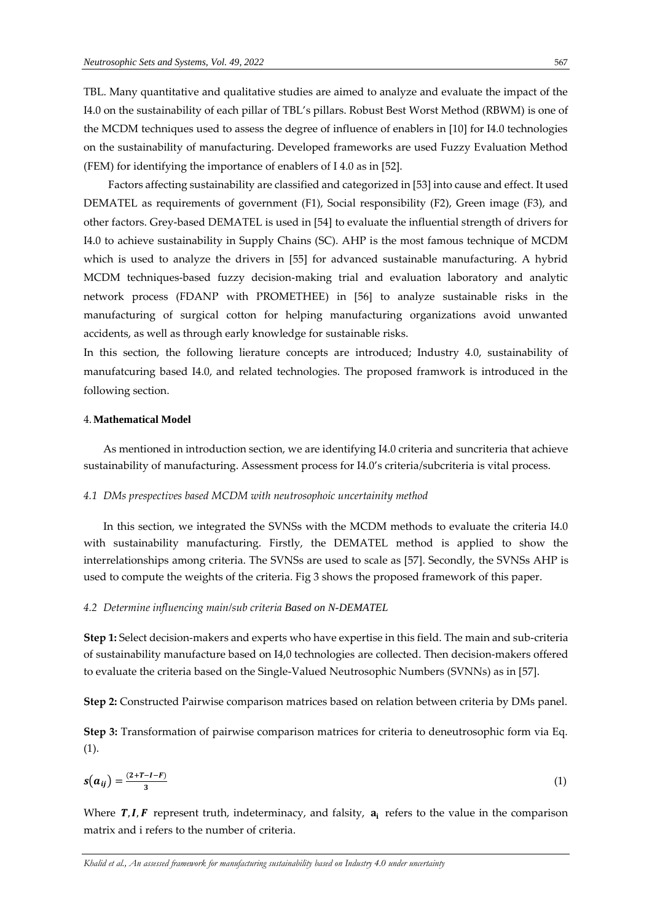TBL. Many quantitative and qualitative studies are aimed to analyze and evaluate the impact of the I4.0 on the sustainability of each pillar of TBL's pillars. Robust Best Worst Method (RBWM) is one of the MCDM techniques used to assess the degree of influence of enablers in [10] for I4.0 technologies on the sustainability of manufacturing. Developed frameworks are used Fuzzy Evaluation Method (FEM) for identifying the importance of enablers of I 4.0 as in [52].

Factors affecting sustainability are classified and categorized in [53] into cause and effect. It used DEMATEL as requirements of government (F1), Social responsibility (F2), Green image (F3), and other factors. Grey-based DEMATEL is used in [54] to evaluate the influential strength of drivers for I4.0 to achieve sustainability in Supply Chains (SC). AHP is the most famous technique of MCDM which is used to analyze the drivers in [55] for advanced sustainable manufacturing. A hybrid MCDM techniques-based fuzzy decision-making trial and evaluation laboratory and analytic network process (FDANP with PROMETHEE) in [56] to analyze sustainable risks in the manufacturing of surgical cotton for helping manufacturing organizations avoid unwanted accidents, as well as through early knowledge for sustainable risks.

In this section, the following lierature concepts are introduced; Industry 4.0, sustainability of manufatcuring based I4.0, and related technologies. The proposed framwork is introduced in the following section.

# 4.**Mathematical Model**

As mentioned in introduction section, we are identifying I4.0 criteria and suncriteria that achieve sustainability of manufacturing. Assessment process for I4.0's criteria/subcriteria is vital process.

#### *4.1 DMs prespectives based MCDM with neutrosophoic uncertainity method*

In this section, we integrated the SVNSs with the MCDM methods to evaluate the criteria I4.0 with sustainability manufacturing. Firstly, the DEMATEL method is applied to show the interrelationships among criteria. The SVNSs are used to scale as [57]. Secondly, the SVNSs AHP is used to compute the weights of the criteria. Fig 3 shows the proposed framework of this paper.

#### *4.2 Determine influencing main/sub criteria Based on N-DEMATEL*

**Step 1:** Select decision-makers and experts who have expertise in this field. The main and sub-criteria of sustainability manufacture based on I4,0 technologies are collected. Then decision-makers offered to evaluate the criteria based on the Single-Valued Neutrosophic Numbers (SVNNs) as in [57].

**Step 2:** Constructed Pairwise comparison matrices based on relation between criteria by DMs panel.

**Step 3:** Transformation of pairwise comparison matrices for criteria to deneutrosophic form via Eq. (1).

$$
s(a_{ij}) = \frac{(2+T-I-F)}{3} \tag{1}
$$

Where  $T, I, F$  represent truth, indeterminacy, and falsity,  $a_i$  refers to the value in the comparison matrix and i refers to the number of criteria.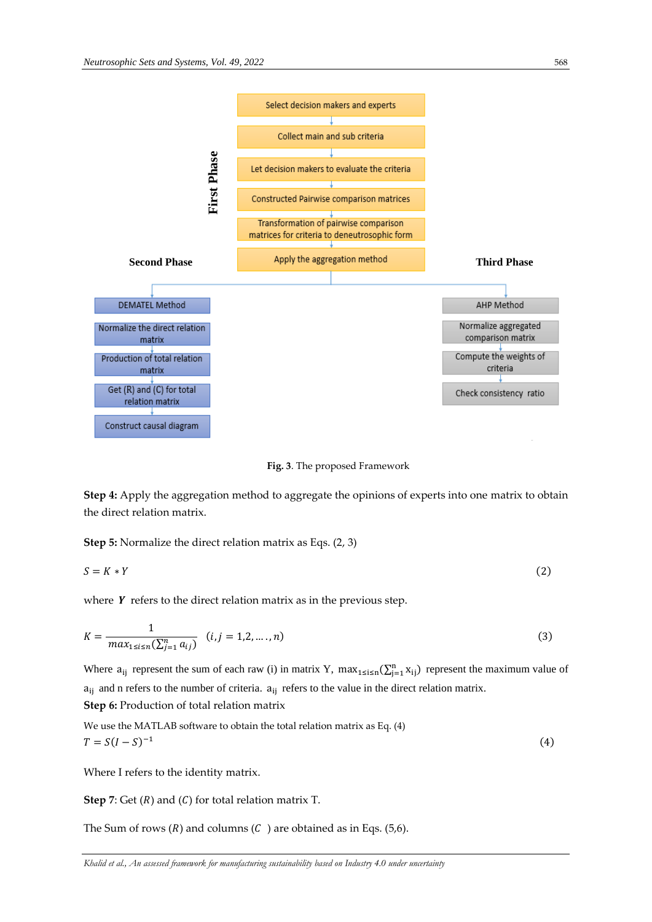

**Fig. 3**. The proposed Framework

**Step 4:** Apply the aggregation method to aggregate the opinions of experts into one matrix to obtain the direct relation matrix.

**Step 5:** Normalize the direct relation matrix as Eqs. (2, 3)

$$
S = K * Y \tag{2}
$$

where  $Y$  refers to the direct relation matrix as in the previous step.

$$
K = \frac{1}{\max_{1 \le i \le n} (\sum_{j=1}^{n} a_{ij})} \quad (i, j = 1, 2, \dots, n)
$$
 (3)

Where  $a_{ij}$  represent the sum of each raw (i) in matrix Y, max<sub>1≤i≤n</sub>( $\sum_{j=1}^{n} x_{ij}$ ) represent the maximum value of  $a_{ij}$  and n refers to the number of criteria.  $a_{ij}$  refers to the value in the direct relation matrix. **Step 6:** Production of total relation matrix

We use the MATLAB software to obtain the total relation matrix as Eq. (4)  $T = S(I - S)^{-1}$ (4)

Where I refers to the identity matrix.

**Step 7**: Get  $(R)$  and  $(C)$  for total relation matrix T.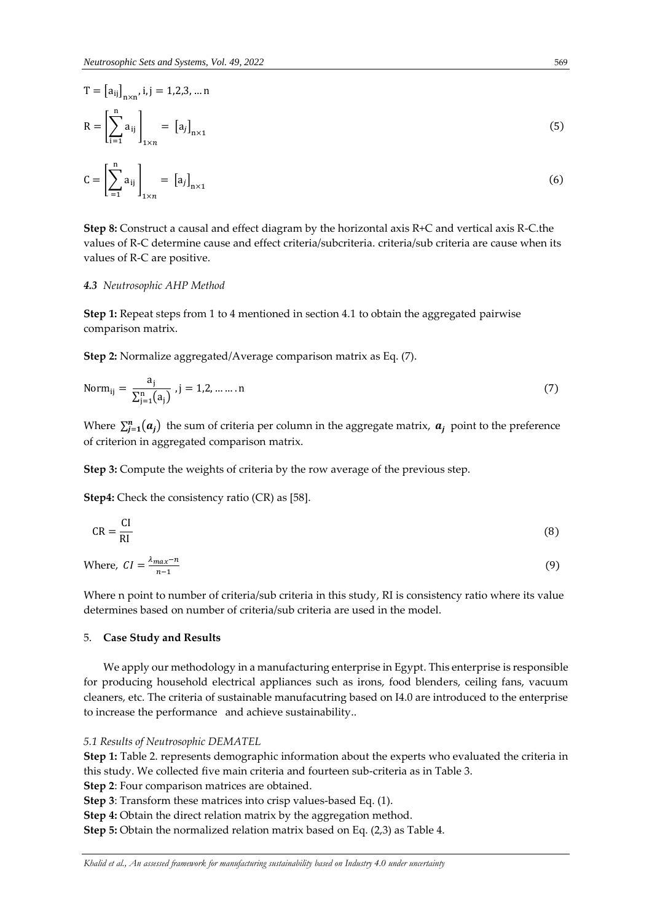$$
T = [a_{ij}]_{n \times n}, i, j = 1, 2, 3, \dots n
$$
  
\n
$$
R = \left[\sum_{i=1}^{n} a_{ij}\right]_{1 \times n} = [a_{j}]_{n \times 1}
$$
  
\n
$$
C = \left[\sum_{i=1}^{n} a_{ij}\right]_{1 \times n} = [a_{j}]_{n \times 1}
$$

$$
C = \left[ \sum_{i=1}^{n} a_{ij} \right]_{1 \times n} = \left[ a_j \right]_{n \times 1} \tag{6}
$$

**Step 8:** Construct a causal and effect diagram by the horizontal axis R+C and vertical axis R-C.the values of R-C determine cause and effect criteria/subcriteria. criteria/sub criteria are cause when its values of R-C are positive.

#### *4.3 Neutrosophic AHP Method*

**Step 1:** Repeat steps from 1 to 4 mentioned in section 4.1 to obtain the aggregated pairwise comparison matrix.

**Step 2:** Normalize aggregated/Average comparison matrix as Eq. (7).

Norm<sub>ij</sub> = 
$$
\frac{a_j}{\sum_{j=1}^{n} (a_j)}
$$
, j = 1,2, ....... n (7)

Where  $\sum_{j=1}^{n} (a_j)$  the sum of criteria per column in the aggregate matrix,  $a_j$  point to the preference of criterion in aggregated comparison matrix.

**Step 3:** Compute the weights of criteria by the row average of the previous step.

**Step4:** Check the consistency ratio (CR) as [58].

$$
CR = \frac{CI}{RI}
$$
 (8)

Where,  $CI = \frac{\lambda_{max}-n}{n-1}$  $n-1$ (9)

Where n point to number of criteria/sub criteria in this study, RI is consistency ratio where its value determines based on number of criteria/sub criteria are used in the model.

#### 5. **Case Study and Results**

We apply our methodology in a manufacturing enterprise in Egypt. This enterprise is responsible for producing household electrical appliances such as irons, food blenders, ceiling fans, vacuum cleaners, etc. The criteria of sustainable manufacutring based on I4.0 are introduced to the enterprise to increase the performance and achieve sustainability..

#### *5.1 Results of Neutrosophic DEMATEL*

**Step 1:** Table 2. represents demographic information about the experts who evaluated the criteria in this study. We collected five main criteria and fourteen sub-criteria as in Table 3.

**Step 2**: Four comparison matrices are obtained.

**Step 3**: Transform these matrices into crisp values-based Eq. (1).

**Step 4:** Obtain the direct relation matrix by the aggregation method.

**Step 5:** Obtain the normalized relation matrix based on Eq. (2,3) as Table 4.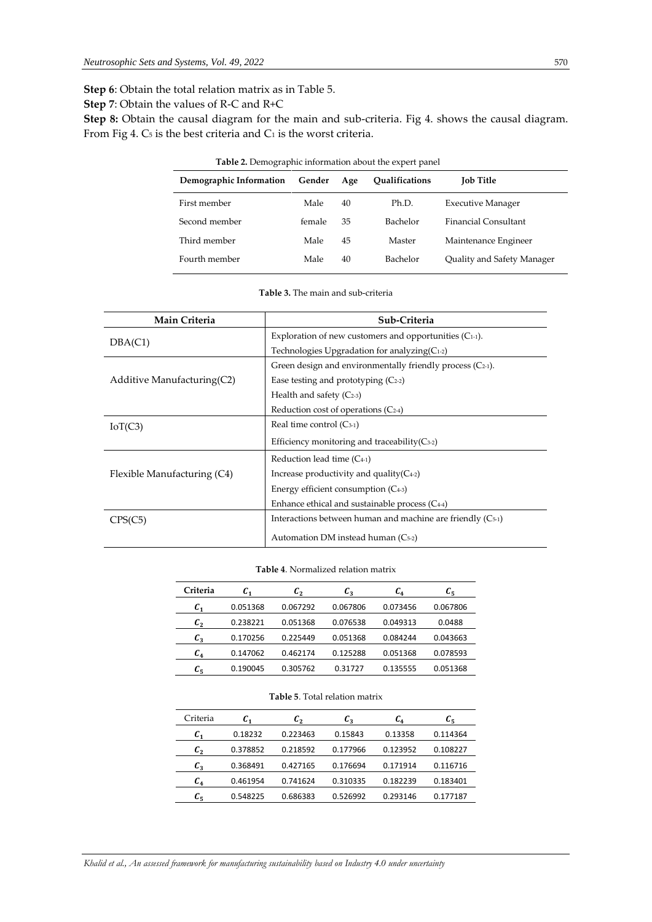**Step 6**: Obtain the total relation matrix as in Table 5.

**Step 7**: Obtain the values of R-C and R+C

Step 8: Obtain the causal diagram for the main and sub-criteria. Fig 4. shows the causal diagram. From Fig 4.  $C_5$  is the best criteria and  $C_1$  is the worst criteria.

| Demographic Information | Gender | Age | <b>Oualifications</b> | <b>Job Title</b>           |
|-------------------------|--------|-----|-----------------------|----------------------------|
| First member            | Male   | 40  | Ph.D.                 | <b>Executive Manager</b>   |
| Second member           | female | 35  | Bachelor              | Financial Consultant       |
| Third member            | Male   | 45  | Master                | Maintenance Engineer       |
| Fourth member           | Male   | 40  | Bachelor              | Quality and Safety Manager |

**Table 3.** The main and sub-criteria

| Main Criteria               | Sub-Criteria                                                    |  |  |  |
|-----------------------------|-----------------------------------------------------------------|--|--|--|
| DBA(C1)                     | Exploration of new customers and opportunities $(C_{1-1})$ .    |  |  |  |
|                             | Technologies Upgradation for analyzing $(C_{1-2})$              |  |  |  |
|                             | Green design and environmentally friendly process $(C_{2-1})$ . |  |  |  |
| Additive Manufacturing (C2) | Ease testing and prototyping $(C_{2-2})$                        |  |  |  |
|                             | Health and safety $(C_{2-3})$                                   |  |  |  |
|                             | Reduction cost of operations $(C_{2-4})$                        |  |  |  |
| IoT(C3)                     | Real time control $(C_{3-1})$                                   |  |  |  |
|                             | Efficiency monitoring and traceability $(C_{3-2})$              |  |  |  |
|                             | Reduction lead time $(C_{4-1})$                                 |  |  |  |
| Flexible Manufacturing (C4) | Increase productivity and quality $(C_{4-2})$                   |  |  |  |
|                             | Energy efficient consumption $(C_{4-3})$                        |  |  |  |
|                             | Enhance ethical and sustainable process $(C_{4-4})$             |  |  |  |
|                             | Interactions between human and machine are friendly $(C_{5-1})$ |  |  |  |
|                             | Automation DM instead human (C <sub>5-2</sub> )                 |  |  |  |

#### **Table 4**. Normalized relation matrix

| Criteria    | $\pmb{c}_1$ | $\mathcal{C}_2$ | $\mathcal{C}_3$ | $\mathcal{C}_4$ | $c_{5}$  |
|-------------|-------------|-----------------|-----------------|-----------------|----------|
| $\pmb{c}_1$ | 0.051368    | 0.067292        | 0.067806        | 0.073456        | 0.067806 |
| $c_{2}$     | 0.238221    | 0.051368        | 0.076538        | 0.049313        | 0.0488   |
| $c_{3}$     | 0.170256    | 0.225449        | 0.051368        | 0.084244        | 0.043663 |
| $c_{4}$     | 0.147062    | 0.462174        | 0.125288        | 0.051368        | 0.078593 |
| $c_{5}$     | 0.190045    | 0.305762        | 0.31727         | 0.135555        | 0.051368 |

#### **Table 5**. Total relation matrix

| Criteria    | $\pmb{C_1}$ | $c_{2}$  | $\mathcal{C}_3$ | $\mathcal{C}_4$ | $c_{\rm s}$ |
|-------------|-------------|----------|-----------------|-----------------|-------------|
| $\pmb{c}_1$ | 0.18232     | 0.223463 | 0.15843         | 0.13358         | 0.114364    |
| $c_{2}$     | 0.378852    | 0.218592 | 0.177966        | 0.123952        | 0.108227    |
| $C_3$       | 0.368491    | 0.427165 | 0.176694        | 0.171914        | 0.116716    |
| $c_{4}$     | 0.461954    | 0.741624 | 0.310335        | 0.182239        | 0.183401    |
| $c_{5}$     | 0.548225    | 0.686383 | 0.526992        | 0.293146        | 0.177187    |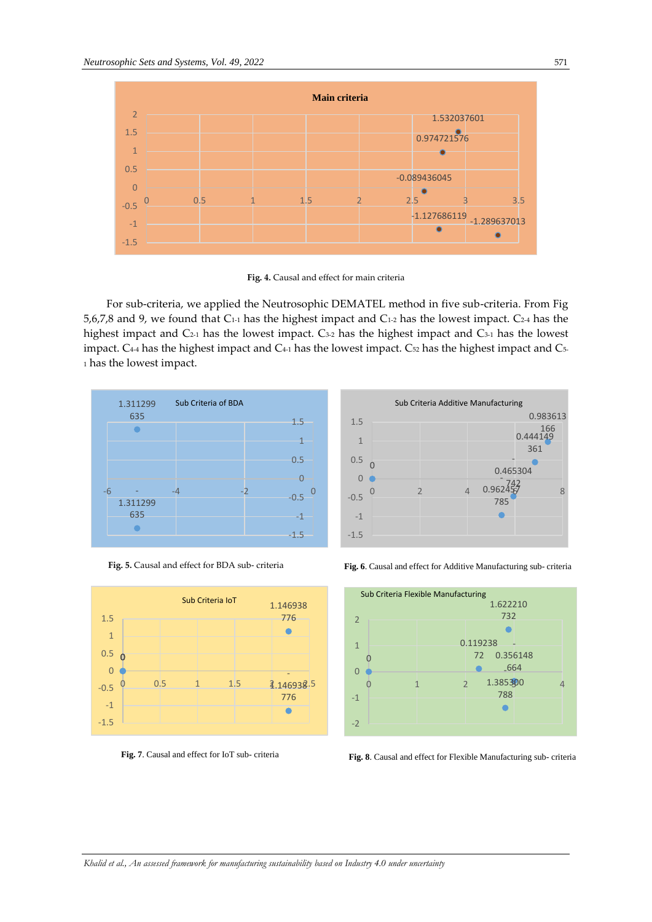

**Fig. 4.** Causal and effect for main criteria

For sub-criteria, we applied the Neutrosophic DEMATEL method in five sub-criteria. From Fig 5,6,7,8 and 9, we found that C1-1 has the highest impact and C1-2 has the lowest impact. C2-4 has the highest impact and C<sub>2-1</sub> has the lowest impact. C<sub>3-2</sub> has the highest impact and C<sub>3-1</sub> has the lowest impact. C<sub>4-4</sub> has the highest impact and C<sub>4-1</sub> has the lowest impact. C<sub>52</sub> has the highest impact and C<sub>5-</sub> <sup>1</sup> has the lowest impact.















**Fig. 7**. Causal and effect for IoT sub- criteria **Fig. 8**. Causal and effect for Flexible Manufacturing sub- criteria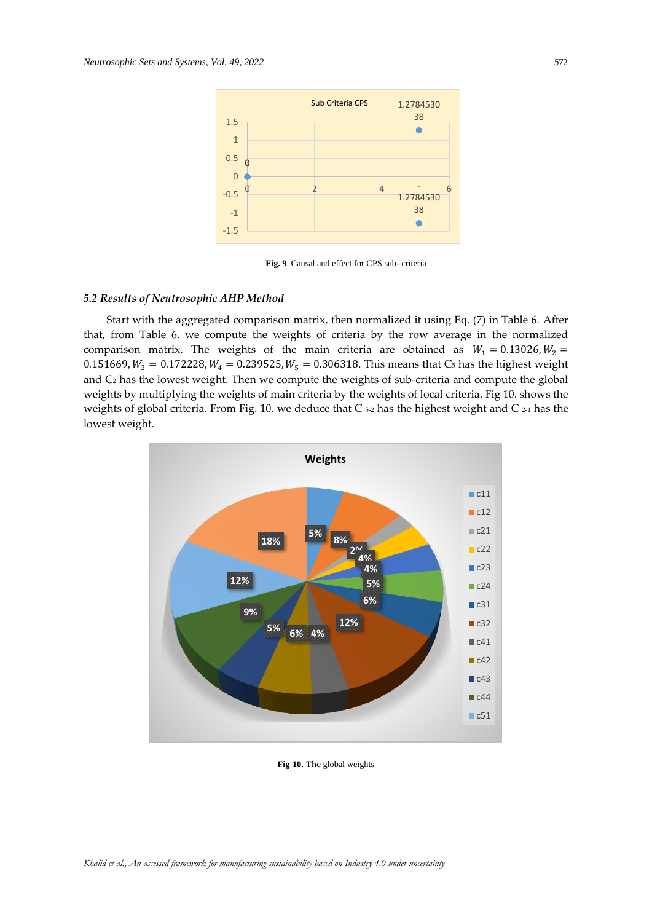

. **Fig. 9**. Causal and effect for CPS sub- criteria

## *5.2 Results of Neutrosophic AHP Method*

Start with the aggregated comparison matrix, then normalized it using Eq. (7) in Table 6. After that, from Table 6. we compute the weights of criteria by the row average in the normalized comparison matrix. The weights of the main criteria are obtained as  $W_1 = 0.13026$ ,  $W_2 =$ 0.151669,  $W_3 = 0.172228$ ,  $W_4 = 0.239525$ ,  $W_5 = 0.306318$ . This means that C<sub>5</sub> has the highest weight and C<sup>2</sup> has the lowest weight. Then we compute the weights of sub-criteria and compute the global weights by multiplying the weights of main criteria by the weights of local criteria. Fig 10. shows the weights of global criteria. From Fig. 10. we deduce that  $C_{52}$  has the highest weight and  $C_{21}$  has the lowest weight.



**Fig 10.** The global weights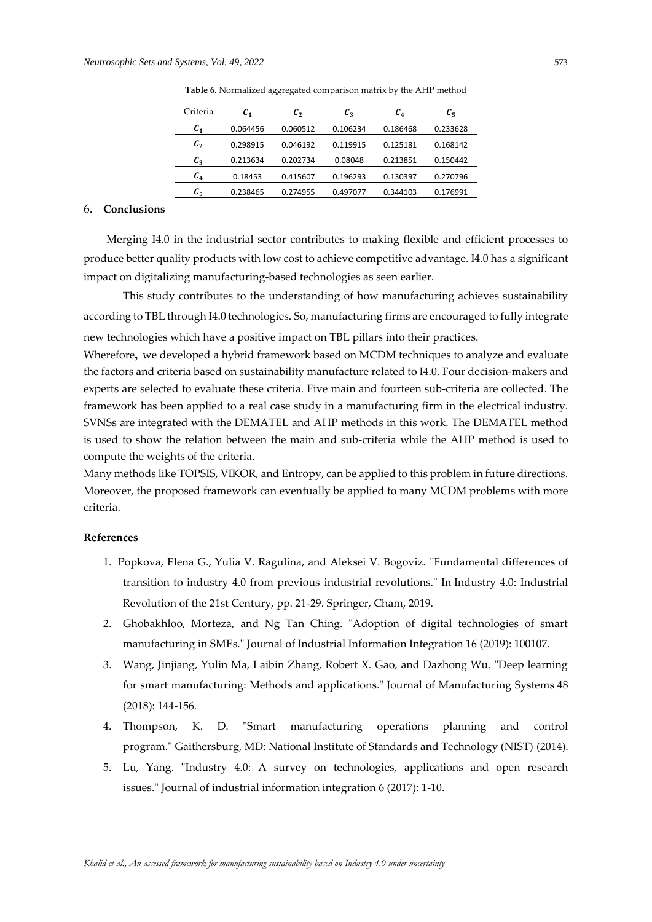| Criteria                   | $c_{1}$  | $c_{\scriptscriptstyle 2}$ | $c_{3}$  | $\mathcal{C}_4$ | $c_{5}$  |
|----------------------------|----------|----------------------------|----------|-----------------|----------|
| $\mathcal{C}_1$            | 0.064456 | 0.060512                   | 0.106234 | 0.186468        | 0.233628 |
| $c_{\scriptscriptstyle 2}$ | 0.298915 | 0.046192                   | 0.119915 | 0.125181        | 0.168142 |
| $c_{3}$                    | 0.213634 | 0.202734                   | 0.08048  | 0.213851        | 0.150442 |
| $c_{4}$                    | 0.18453  | 0.415607                   | 0.196293 | 0.130397        | 0.270796 |
| $c_{5}$                    | 0.238465 | 0.274955                   | 0.497077 | 0.344103        | 0.176991 |

**Table 6**. Normalized aggregated comparison matrix by the AHP method

#### 6. **Conclusions**

Merging I4.0 in the industrial sector contributes to making flexible and efficient processes to produce better quality products with low cost to achieve competitive advantage. I4.0 has a significant impact on digitalizing manufacturing-based technologies as seen earlier.

This study contributes to the understanding of how manufacturing achieves sustainability according to TBL through I4.0 technologies.So, manufacturing firms are encouraged to fully integrate new technologies which have a positive impact on TBL pillars into their practices.

Wherefore**,** we developed a hybrid framework based on MCDM techniques to analyze and evaluate the factors and criteria based on sustainability manufacture related to I4.0. Four decision-makers and experts are selected to evaluate these criteria. Five main and fourteen sub-criteria are collected. The framework has been applied to a real case study in a manufacturing firm in the electrical industry. SVNSs are integrated with the DEMATEL and AHP methods in this work. The DEMATEL method is used to show the relation between the main and sub-criteria while the AHP method is used to compute the weights of the criteria.

Many methods like TOPSIS, VIKOR, and Entropy, can be applied to this problem in future directions. Moreover, the proposed framework can eventually be applied to many MCDM problems with more criteria.

# **References**

- 1. Popkova, Elena G., Yulia V. Ragulina, and Aleksei V. Bogoviz. "Fundamental differences of transition to industry 4.0 from previous industrial revolutions." In Industry 4.0: Industrial Revolution of the 21st Century, pp. 21-29. Springer, Cham, 2019.
- 2. Ghobakhloo, Morteza, and Ng Tan Ching. "Adoption of digital technologies of smart manufacturing in SMEs." Journal of Industrial Information Integration 16 (2019): 100107.
- 3. Wang, Jinjiang, Yulin Ma, Laibin Zhang, Robert X. Gao, and Dazhong Wu. "Deep learning for smart manufacturing: Methods and applications." Journal of Manufacturing Systems 48 (2018): 144-156.
- 4. Thompson, K. D. "Smart manufacturing operations planning and control program." Gaithersburg, MD: National Institute of Standards and Technology (NIST) (2014).
- 5. Lu, Yang. "Industry 4.0: A survey on technologies, applications and open research issues." Journal of industrial information integration 6 (2017): 1-10.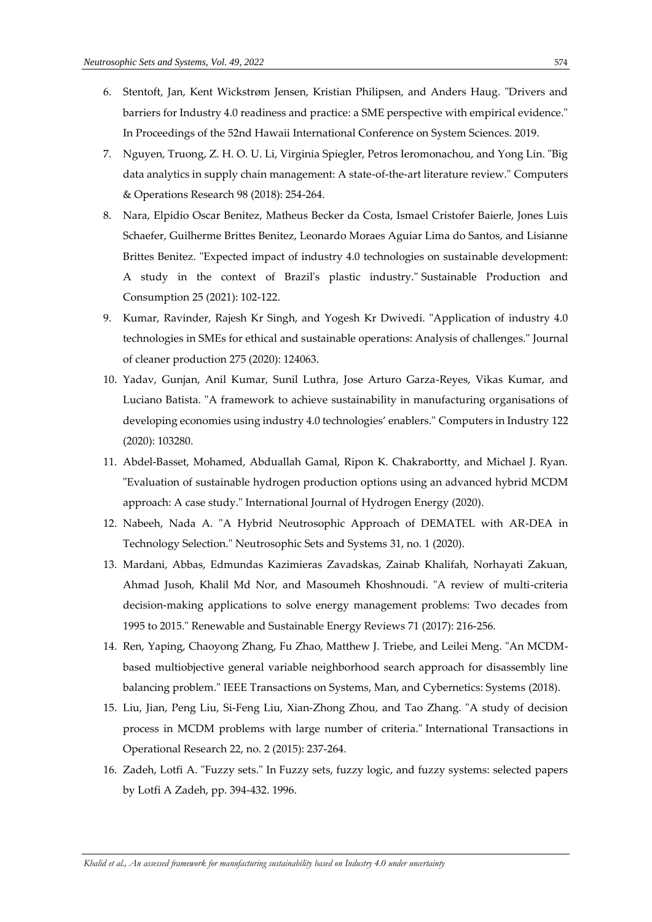- 6. Stentoft, Jan, Kent Wickstrøm Jensen, Kristian Philipsen, and Anders Haug. "Drivers and barriers for Industry 4.0 readiness and practice: a SME perspective with empirical evidence." In Proceedings of the 52nd Hawaii International Conference on System Sciences. 2019.
- 7. Nguyen, Truong, Z. H. O. U. Li, Virginia Spiegler, Petros Ieromonachou, and Yong Lin. "Big data analytics in supply chain management: A state-of-the-art literature review." Computers & Operations Research 98 (2018): 254-264.
- 8. Nara, Elpidio Oscar Benitez, Matheus Becker da Costa, Ismael Cristofer Baierle, Jones Luis Schaefer, Guilherme Brittes Benitez, Leonardo Moraes Aguiar Lima do Santos, and Lisianne Brittes Benitez. "Expected impact of industry 4.0 technologies on sustainable development: A study in the context of Brazil's plastic industry." Sustainable Production and Consumption 25 (2021): 102-122.
- 9. Kumar, Ravinder, Rajesh Kr Singh, and Yogesh Kr Dwivedi. "Application of industry 4.0 technologies in SMEs for ethical and sustainable operations: Analysis of challenges." Journal of cleaner production 275 (2020): 124063.
- 10. Yadav, Gunjan, Anil Kumar, Sunil Luthra, Jose Arturo Garza-Reyes, Vikas Kumar, and Luciano Batista. "A framework to achieve sustainability in manufacturing organisations of developing economies using industry 4.0 technologies' enablers." Computers in Industry 122 (2020): 103280.
- 11. Abdel-Basset, Mohamed, Abduallah Gamal, Ripon K. Chakrabortty, and Michael J. Ryan. "Evaluation of sustainable hydrogen production options using an advanced hybrid MCDM approach: A case study." International Journal of Hydrogen Energy (2020).
- 12. Nabeeh, Nada A. "A Hybrid Neutrosophic Approach of DEMATEL with AR-DEA in Technology Selection." Neutrosophic Sets and Systems 31, no. 1 (2020).
- 13. Mardani, Abbas, Edmundas Kazimieras Zavadskas, Zainab Khalifah, Norhayati Zakuan, Ahmad Jusoh, Khalil Md Nor, and Masoumeh Khoshnoudi. "A review of multi-criteria decision-making applications to solve energy management problems: Two decades from 1995 to 2015." Renewable and Sustainable Energy Reviews 71 (2017): 216-256.
- 14. Ren, Yaping, Chaoyong Zhang, Fu Zhao, Matthew J. Triebe, and Leilei Meng. "An MCDMbased multiobjective general variable neighborhood search approach for disassembly line balancing problem." IEEE Transactions on Systems, Man, and Cybernetics: Systems (2018).
- 15. Liu, Jian, Peng Liu, Si‐Feng Liu, Xian‐Zhong Zhou, and Tao Zhang. "A study of decision process in MCDM problems with large number of criteria." International Transactions in Operational Research 22, no. 2 (2015): 237-264.
- 16. Zadeh, Lotfi A. "Fuzzy sets." In Fuzzy sets, fuzzy logic, and fuzzy systems: selected papers by Lotfi A Zadeh, pp. 394-432. 1996.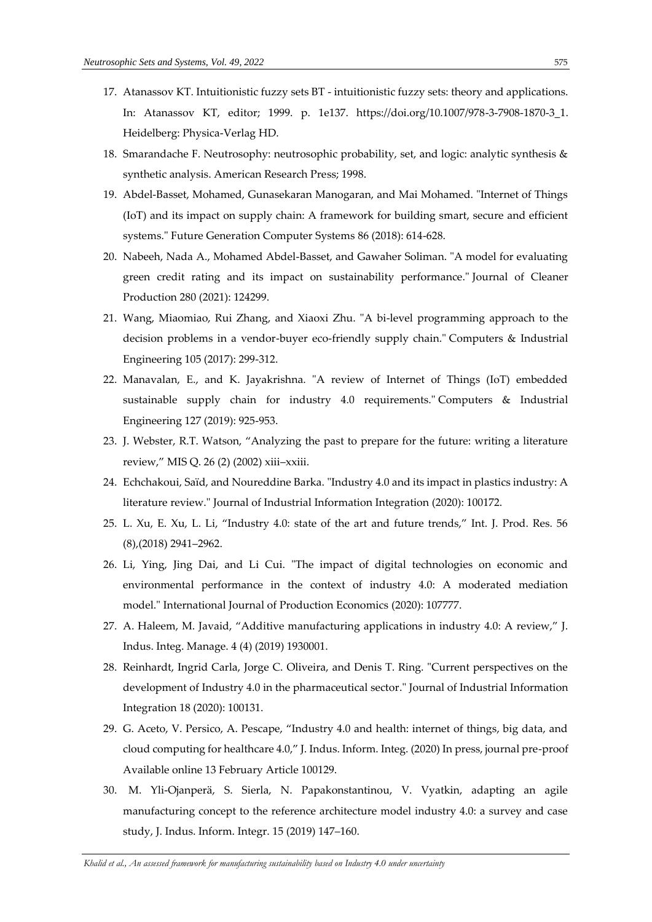- 17. Atanassov KT. Intuitionistic fuzzy sets BT intuitionistic fuzzy sets: theory and applications. In: Atanassov KT, editor; 1999. p. 1e137. https://doi.org/10.1007/978-3-7908-1870-3\_1. Heidelberg: Physica-Verlag HD.
- 18. Smarandache F. Neutrosophy: neutrosophic probability, set, and logic: analytic synthesis & synthetic analysis. American Research Press; 1998.
- 19. Abdel-Basset, Mohamed, Gunasekaran Manogaran, and Mai Mohamed. "Internet of Things (IoT) and its impact on supply chain: A framework for building smart, secure and efficient systems." Future Generation Computer Systems 86 (2018): 614-628.
- 20. Nabeeh, Nada A., Mohamed Abdel-Basset, and Gawaher Soliman. "A model for evaluating green credit rating and its impact on sustainability performance." Journal of Cleaner Production 280 (2021): 124299.
- 21. Wang, Miaomiao, Rui Zhang, and Xiaoxi Zhu. "A bi-level programming approach to the decision problems in a vendor-buyer eco-friendly supply chain." Computers & Industrial Engineering 105 (2017): 299-312.
- 22. Manavalan, E., and K. Jayakrishna. "A review of Internet of Things (IoT) embedded sustainable supply chain for industry 4.0 requirements." Computers & Industrial Engineering 127 (2019): 925-953.
- 23. J. Webster, R.T. Watson, "Analyzing the past to prepare for the future: writing a literature review," MIS Q. 26 (2) (2002) xiii–xxiii.
- 24. Echchakoui, Saïd, and Noureddine Barka. "Industry 4.0 and its impact in plastics industry: A literature review." Journal of Industrial Information Integration (2020): 100172.
- 25. L. Xu, E. Xu, L. Li, "Industry 4.0: state of the art and future trends," Int. J. Prod. Res. 56 (8),(2018) 2941–2962.
- 26. Li, Ying, Jing Dai, and Li Cui. "The impact of digital technologies on economic and environmental performance in the context of industry 4.0: A moderated mediation model." International Journal of Production Economics (2020): 107777.
- 27. A. Haleem, M. Javaid, "Additive manufacturing applications in industry 4.0: A review," J. Indus. Integ. Manage. 4 (4) (2019) 1930001.
- 28. Reinhardt, Ingrid Carla, Jorge C. Oliveira, and Denis T. Ring. "Current perspectives on the development of Industry 4.0 in the pharmaceutical sector." Journal of Industrial Information Integration 18 (2020): 100131.
- 29. G. Aceto, V. Persico, A. Pescape, "Industry 4.0 and health: internet of things, big data, and cloud computing for healthcare 4.0," J. Indus. Inform. Integ. (2020) In press, journal pre-proof Available online 13 February Article 100129.
- 30. M. Yli-Ojanperä, S. Sierla, N. Papakonstantinou, V. Vyatkin, adapting an agile manufacturing concept to the reference architecture model industry 4.0: a survey and case study, J. Indus. Inform. Integr. 15 (2019) 147–160.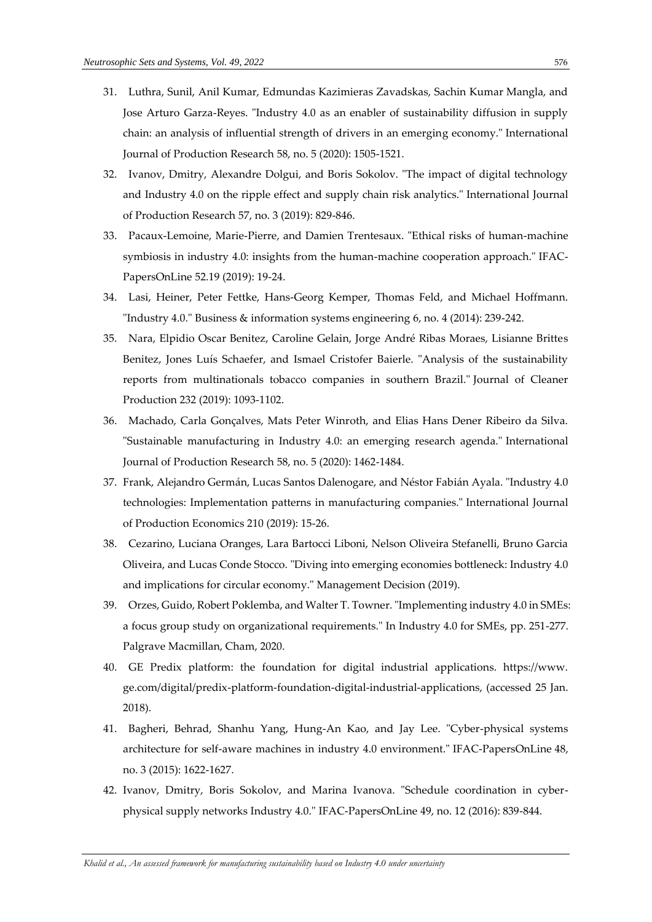- 31. Luthra, Sunil, Anil Kumar, Edmundas Kazimieras Zavadskas, Sachin Kumar Mangla, and Jose Arturo Garza-Reyes. "Industry 4.0 as an enabler of sustainability diffusion in supply chain: an analysis of influential strength of drivers in an emerging economy." International Journal of Production Research 58, no. 5 (2020): 1505-1521.
- 32. Ivanov, Dmitry, Alexandre Dolgui, and Boris Sokolov. "The impact of digital technology and Industry 4.0 on the ripple effect and supply chain risk analytics." International Journal of Production Research 57, no. 3 (2019): 829-846.
- 33. Pacaux-Lemoine, Marie-Pierre, and Damien Trentesaux. "Ethical risks of human-machine symbiosis in industry 4.0: insights from the human-machine cooperation approach." IFAC-PapersOnLine 52.19 (2019): 19-24.
- 34. Lasi, Heiner, Peter Fettke, Hans-Georg Kemper, Thomas Feld, and Michael Hoffmann. "Industry 4.0." Business & information systems engineering 6, no. 4 (2014): 239-242.
- 35. Nara, Elpidio Oscar Benitez, Caroline Gelain, Jorge André Ribas Moraes, Lisianne Brittes Benitez, Jones Luís Schaefer, and Ismael Cristofer Baierle. "Analysis of the sustainability reports from multinationals tobacco companies in southern Brazil." Journal of Cleaner Production 232 (2019): 1093-1102.
- 36. Machado, Carla Gonçalves, Mats Peter Winroth, and Elias Hans Dener Ribeiro da Silva. "Sustainable manufacturing in Industry 4.0: an emerging research agenda." International Journal of Production Research 58, no. 5 (2020): 1462-1484.
- 37. Frank, Alejandro Germán, Lucas Santos Dalenogare, and Néstor Fabián Ayala. "Industry 4.0 technologies: Implementation patterns in manufacturing companies." International Journal of Production Economics 210 (2019): 15-26.
- 38. Cezarino, Luciana Oranges, Lara Bartocci Liboni, Nelson Oliveira Stefanelli, Bruno Garcia Oliveira, and Lucas Conde Stocco. "Diving into emerging economies bottleneck: Industry 4.0 and implications for circular economy." Management Decision (2019).
- 39. Orzes, Guido, Robert Poklemba, and Walter T. Towner. "Implementing industry 4.0 in SMEs: a focus group study on organizational requirements." In Industry 4.0 for SMEs, pp. 251-277. Palgrave Macmillan, Cham, 2020.
- 40. GE Predix platform: the foundation for digital industrial applications. https://www. ge.com/digital/predix-platform-foundation-digital-industrial-applications, (accessed 25 Jan. 2018).
- 41. Bagheri, Behrad, Shanhu Yang, Hung-An Kao, and Jay Lee. "Cyber-physical systems architecture for self-aware machines in industry 4.0 environment." IFAC-PapersOnLine 48, no. 3 (2015): 1622-1627.
- 42. Ivanov, Dmitry, Boris Sokolov, and Marina Ivanova. "Schedule coordination in cyberphysical supply networks Industry 4.0." IFAC-PapersOnLine 49, no. 12 (2016): 839-844.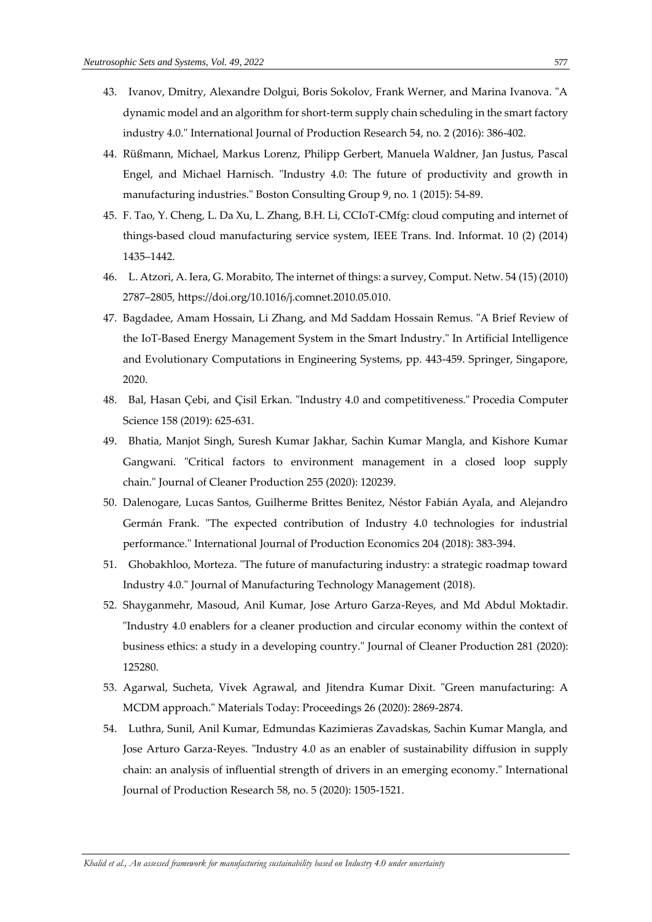- 43. Ivanov, Dmitry, Alexandre Dolgui, Boris Sokolov, Frank Werner, and Marina Ivanova. "A dynamic model and an algorithm for short-term supply chain scheduling in the smart factory industry 4.0." International Journal of Production Research 54, no. 2 (2016): 386-402.
- 44. Rüßmann, Michael, Markus Lorenz, Philipp Gerbert, Manuela Waldner, Jan Justus, Pascal Engel, and Michael Harnisch. "Industry 4.0: The future of productivity and growth in manufacturing industries." Boston Consulting Group 9, no. 1 (2015): 54-89.
- 45. F. Tao, Y. Cheng, L. Da Xu, L. Zhang, B.H. Li, CCIoT-CMfg: cloud computing and internet of things-based cloud manufacturing service system, IEEE Trans. Ind. Informat. 10 (2) (2014) 1435–1442.
- 46. L. Atzori, A. Iera, G. Morabito, The internet of things: a survey, Comput. Netw. 54 (15) (2010) 2787–2805, [https://doi.org/10.1016/j.comnet.2010.05.010.](https://doi.org/10.1016/j.comnet.2010.05.010)
- 47. Bagdadee, Amam Hossain, Li Zhang, and Md Saddam Hossain Remus. "A Brief Review of the IoT-Based Energy Management System in the Smart Industry." In Artificial Intelligence and Evolutionary Computations in Engineering Systems, pp. 443-459. Springer, Singapore, 2020.
- 48. Bal, Hasan Çebi, and Çisil Erkan. "Industry 4.0 and competitiveness." Procedia Computer Science 158 (2019): 625-631.
- 49. Bhatia, Manjot Singh, Suresh Kumar Jakhar, Sachin Kumar Mangla, and Kishore Kumar Gangwani. "Critical factors to environment management in a closed loop supply chain." Journal of Cleaner Production 255 (2020): 120239.
- 50. Dalenogare, Lucas Santos, Guilherme Brittes Benitez, Néstor Fabián Ayala, and Alejandro Germán Frank. "The expected contribution of Industry 4.0 technologies for industrial performance." International Journal of Production Economics 204 (2018): 383-394.
- 51. Ghobakhloo, Morteza. "The future of manufacturing industry: a strategic roadmap toward Industry 4.0." Journal of Manufacturing Technology Management (2018).
- 52. Shayganmehr, Masoud, Anil Kumar, Jose Arturo Garza-Reyes, and Md Abdul Moktadir. "Industry 4.0 enablers for a cleaner production and circular economy within the context of business ethics: a study in a developing country." Journal of Cleaner Production 281 (2020): 125280.
- 53. Agarwal, Sucheta, Vivek Agrawal, and Jitendra Kumar Dixit. "Green manufacturing: A MCDM approach." Materials Today: Proceedings 26 (2020): 2869-2874.
- 54. Luthra, Sunil, Anil Kumar, Edmundas Kazimieras Zavadskas, Sachin Kumar Mangla, and Jose Arturo Garza-Reyes. "Industry 4.0 as an enabler of sustainability diffusion in supply chain: an analysis of influential strength of drivers in an emerging economy." International Journal of Production Research 58, no. 5 (2020): 1505-1521.